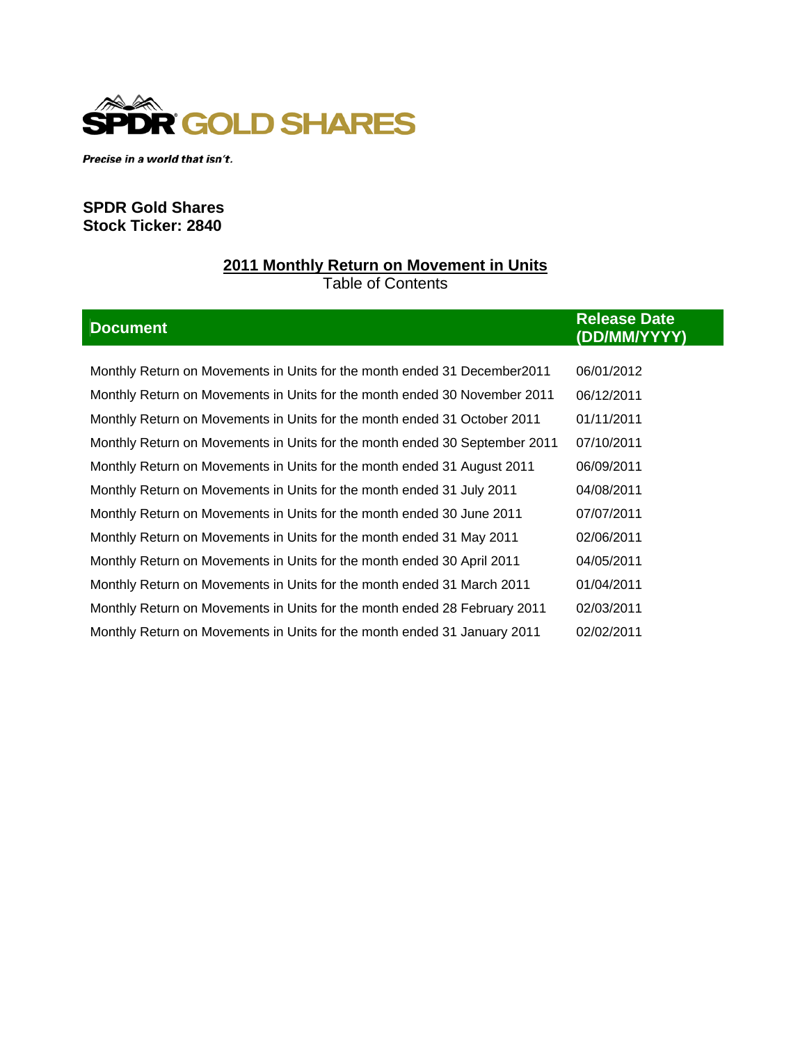

Precise in a world that isn't.

# **SPDR Gold Shares Stock Ticker: 2840**

# **2011 Monthly Return on Movement in Units** Table of Contents

| <b>Document</b>                                                            | <b>Release Date</b><br>(DD/MM/YYYY) |
|----------------------------------------------------------------------------|-------------------------------------|
|                                                                            |                                     |
| Monthly Return on Movements in Units for the month ended 31 December 2011  | 06/01/2012                          |
| Monthly Return on Movements in Units for the month ended 30 November 2011  | 06/12/2011                          |
| Monthly Return on Movements in Units for the month ended 31 October 2011   | 01/11/2011                          |
| Monthly Return on Movements in Units for the month ended 30 September 2011 | 07/10/2011                          |
| Monthly Return on Movements in Units for the month ended 31 August 2011    | 06/09/2011                          |
| Monthly Return on Movements in Units for the month ended 31 July 2011      | 04/08/2011                          |
| Monthly Return on Movements in Units for the month ended 30 June 2011      | 07/07/2011                          |
| Monthly Return on Movements in Units for the month ended 31 May 2011       | 02/06/2011                          |
| Monthly Return on Movements in Units for the month ended 30 April 2011     | 04/05/2011                          |
| Monthly Return on Movements in Units for the month ended 31 March 2011     | 01/04/2011                          |
| Monthly Return on Movements in Units for the month ended 28 February 2011  | 02/03/2011                          |
| Monthly Return on Movements in Units for the month ended 31 January 2011   | 02/02/2011                          |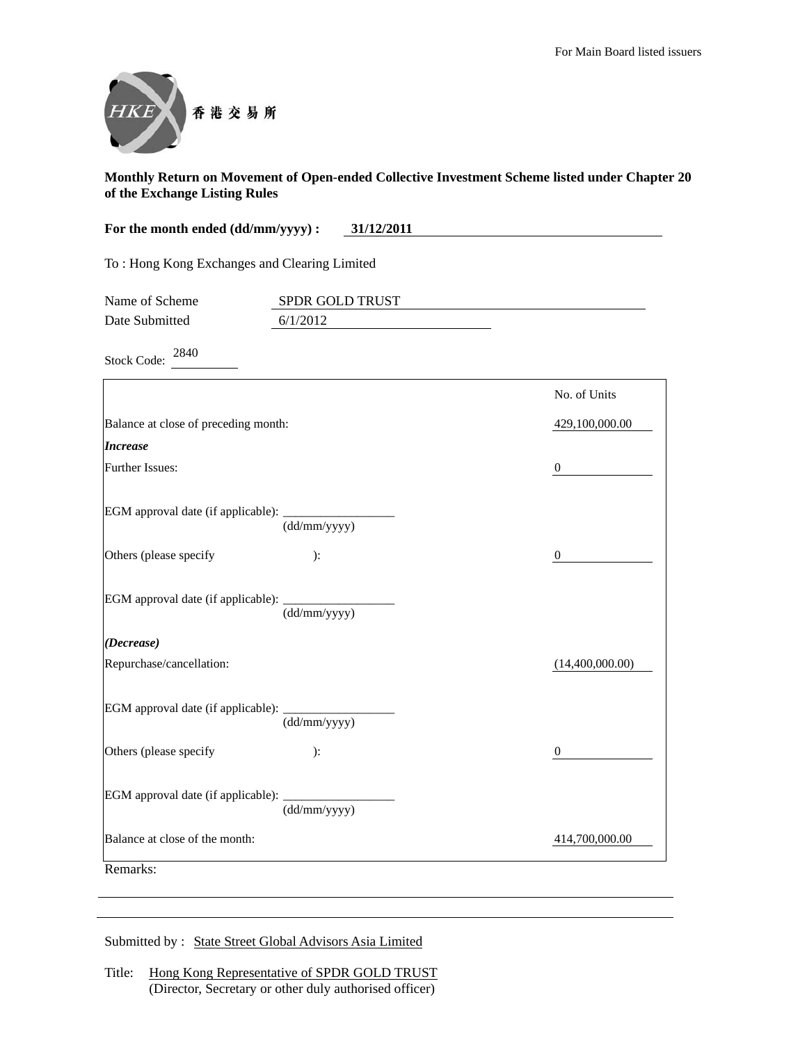

| For the month ended (dd/mm/yyyy) :<br>31/12/2011 |                             |                  |
|--------------------------------------------------|-----------------------------|------------------|
| To: Hong Kong Exchanges and Clearing Limited     |                             |                  |
| Name of Scheme<br>Date Submitted                 | SPDR GOLD TRUST<br>6/1/2012 |                  |
| 2840<br><b>Stock Code:</b>                       |                             |                  |
|                                                  |                             | No. of Units     |
| Balance at close of preceding month:             |                             | 429,100,000.00   |
| <b>Increase</b>                                  |                             |                  |
| Further Issues:                                  |                             | $\boldsymbol{0}$ |
| EGM approval date (if applicable):               | (dd/mm/yyyy)                |                  |
| Others (please specify                           | ):                          | $\boldsymbol{0}$ |
| EGM approval date (if applicable):               | (dd/mm/yyyy)                |                  |
| (Decrease)                                       |                             |                  |
| Repurchase/cancellation:                         |                             | (14,400,000.00)  |
| EGM approval date (if applicable):               | (dd/mm/yyyy)                |                  |
| Others (please specify                           | ):                          | $\boldsymbol{0}$ |
| EGM approval date (if applicable):               | (dd/mm/yyyy)                |                  |
| Balance at close of the month:                   |                             | 414,700,000.00   |
| Remarks:                                         |                             |                  |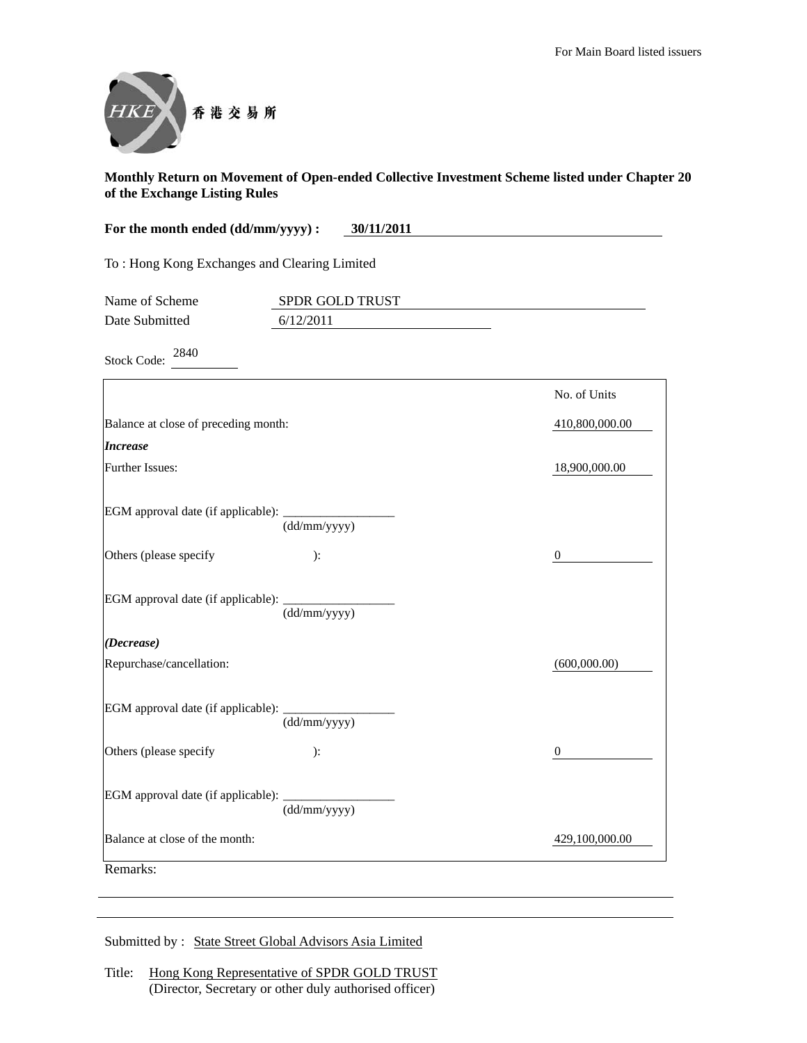

| For the month ended (dd/mm/yyyy) :           | 30/11/2011                   |                  |
|----------------------------------------------|------------------------------|------------------|
| To: Hong Kong Exchanges and Clearing Limited |                              |                  |
| Name of Scheme<br>Date Submitted             | SPDR GOLD TRUST<br>6/12/2011 |                  |
| 2840<br><b>Stock Code:</b>                   |                              |                  |
|                                              |                              | No. of Units     |
| Balance at close of preceding month:         |                              | 410,800,000.00   |
| <b>Increase</b>                              |                              |                  |
| <b>Further Issues:</b>                       |                              | 18,900,000.00    |
| EGM approval date (if applicable):           | (dd/mm/yyyy)                 |                  |
| Others (please specify                       | ):                           | $\boldsymbol{0}$ |
| EGM approval date (if applicable):           | (dd/mm/yyyy)                 |                  |
| (Decrease)                                   |                              |                  |
| Repurchase/cancellation:                     |                              | (600,000.00)     |
| EGM approval date (if applicable):           | (dd/mm/yyyy)                 |                  |
| Others (please specify                       | ):                           | $\mathbf{0}$     |
| EGM approval date (if applicable):           | (dd/mm/yyyy)                 |                  |
| Balance at close of the month:               |                              | 429,100,000.00   |
| Remarks:                                     |                              |                  |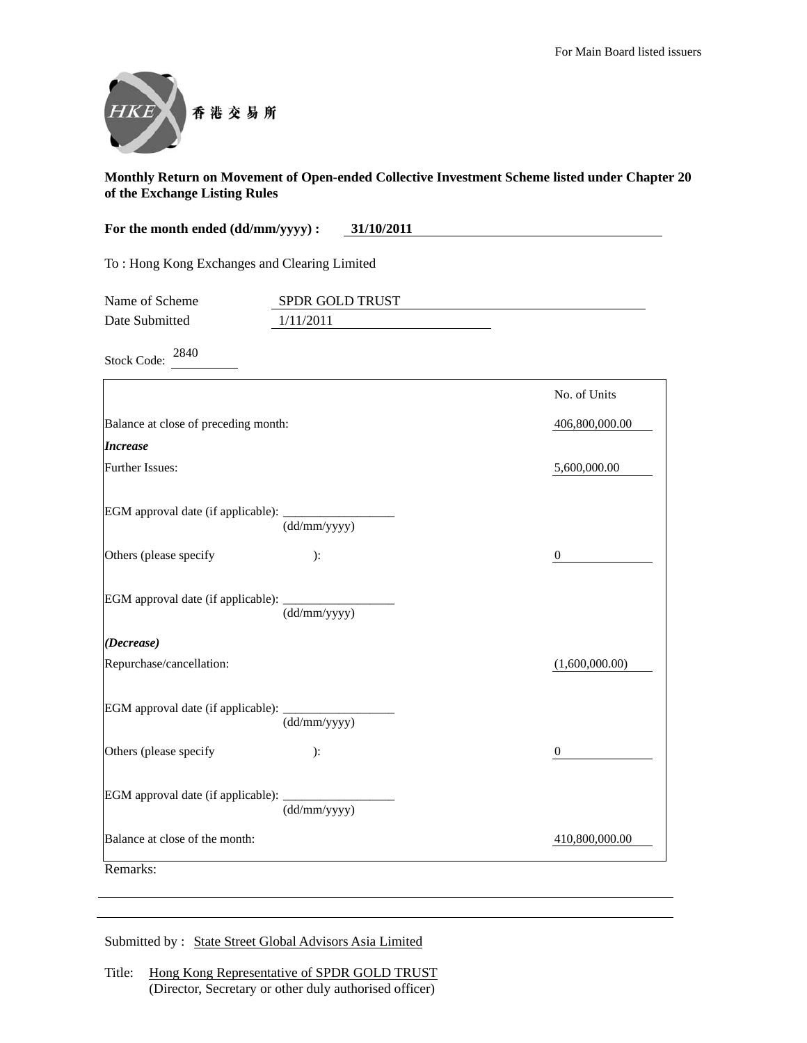

| For the month ended (dd/mm/yyyy) :<br>31/10/2011 |                              |                  |
|--------------------------------------------------|------------------------------|------------------|
| To: Hong Kong Exchanges and Clearing Limited     |                              |                  |
| Name of Scheme<br>Date Submitted                 | SPDR GOLD TRUST<br>1/11/2011 |                  |
| 2840<br><b>Stock Code:</b>                       |                              |                  |
|                                                  |                              | No. of Units     |
| Balance at close of preceding month:             |                              | 406,800,000.00   |
| <i><b>Increase</b></i>                           |                              |                  |
| Further Issues:                                  |                              | 5,600,000.00     |
| EGM approval date (if applicable):               | (dd/mm/yyyy)                 |                  |
| Others (please specify                           | ):                           | $\boldsymbol{0}$ |
| EGM approval date (if applicable):               | (dd/mm/yyyy)                 |                  |
| (Decrease)                                       |                              |                  |
| Repurchase/cancellation:                         |                              | (1,600,000.00)   |
| EGM approval date (if applicable):               | (dd/mm/yyyy)                 |                  |
| Others (please specify                           | ):                           | $\overline{0}$   |
| EGM approval date (if applicable):               | (dd/mm/yyyy)                 |                  |
| Balance at close of the month:                   |                              | 410,800,000.00   |
| Remarks:                                         |                              |                  |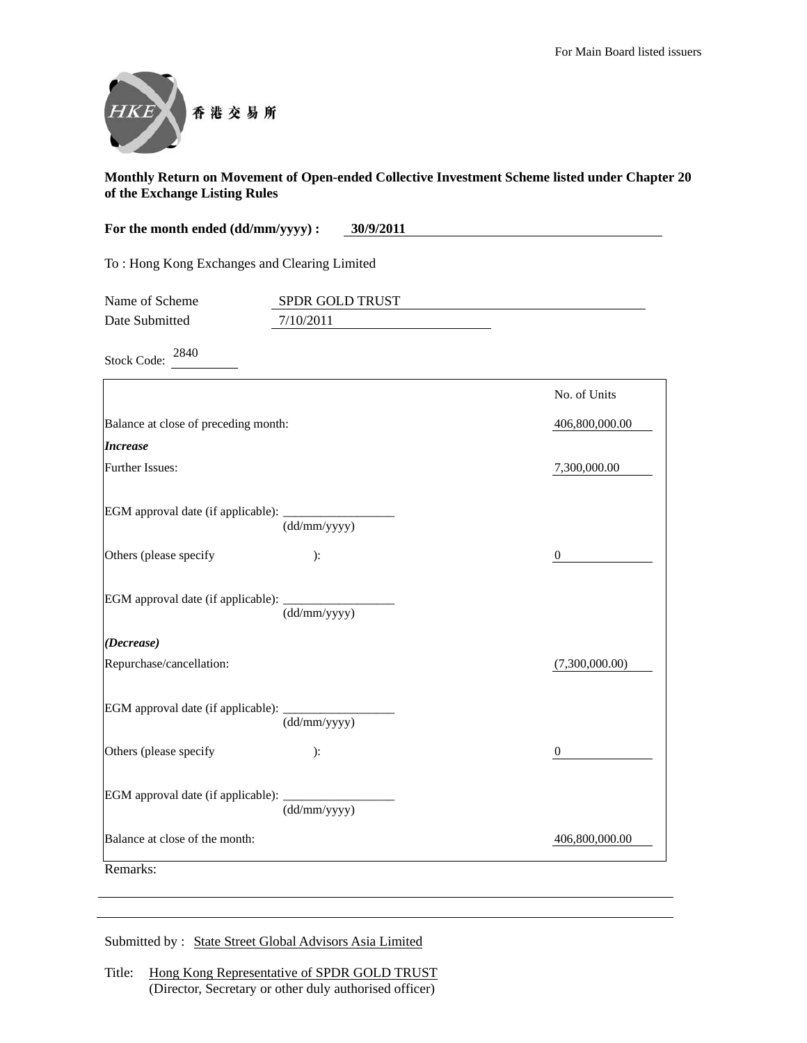

| For the month ended (dd/mm/yyyy) :<br>30/9/2011 |                              |                  |
|-------------------------------------------------|------------------------------|------------------|
| To: Hong Kong Exchanges and Clearing Limited    |                              |                  |
| Name of Scheme<br>Date Submitted                | SPDR GOLD TRUST<br>7/10/2011 |                  |
| 2840<br><b>Stock Code:</b>                      |                              |                  |
|                                                 |                              | No. of Units     |
| Balance at close of preceding month:            |                              | 406,800,000.00   |
| <b>Increase</b>                                 |                              |                  |
| Further Issues:                                 |                              | 7,300,000.00     |
| EGM approval date (if applicable):              | (dd/mm/yyyy)                 |                  |
| Others (please specify                          | ):                           | $\boldsymbol{0}$ |
| EGM approval date (if applicable):              | (dd/mm/yyyy)                 |                  |
| (Decrease)                                      |                              |                  |
| Repurchase/cancellation:                        |                              | (7,300,000.00)   |
| EGM approval date (if applicable):              | (dd/mm/yyyy)                 |                  |
| Others (please specify                          | ):                           | $\boldsymbol{0}$ |
| EGM approval date (if applicable):              | (dd/mm/yyyy)                 |                  |
| Balance at close of the month:                  |                              | 406,800,000.00   |
| Remarks:                                        |                              |                  |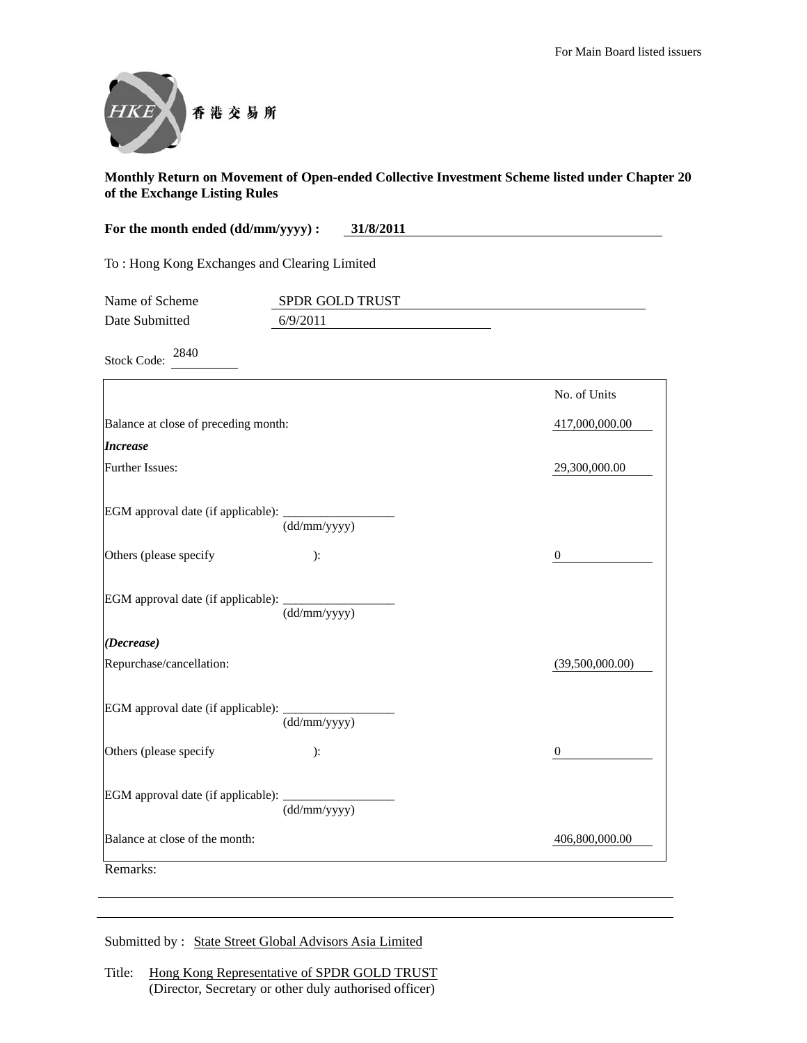

| For the month ended (dd/mm/yyyy) :           | 31/8/2011                   |                  |
|----------------------------------------------|-----------------------------|------------------|
| To: Hong Kong Exchanges and Clearing Limited |                             |                  |
| Name of Scheme<br>Date Submitted             | SPDR GOLD TRUST<br>6/9/2011 |                  |
| 2840                                         |                             |                  |
| <b>Stock Code:</b>                           |                             |                  |
|                                              |                             | No. of Units     |
| Balance at close of preceding month:         |                             | 417,000,000.00   |
| <b>Increase</b>                              |                             |                  |
| Further Issues:                              |                             | 29,300,000.00    |
| EGM approval date (if applicable):           | (dd/mm/yyyy)                |                  |
| Others (please specify                       | ):                          | $\boldsymbol{0}$ |
| EGM approval date (if applicable):           | (dd/mm/yyyy)                |                  |
| (Decrease)                                   |                             |                  |
| Repurchase/cancellation:                     |                             | (39,500,000.00)  |
| EGM approval date (if applicable):           | (dd/mm/yyyy)                |                  |
| Others (please specify                       | ):                          | $\boldsymbol{0}$ |
| EGM approval date (if applicable):           | (dd/mm/yyyy)                |                  |
| Balance at close of the month:               |                             | 406,800,000.00   |
| Remarks:                                     |                             |                  |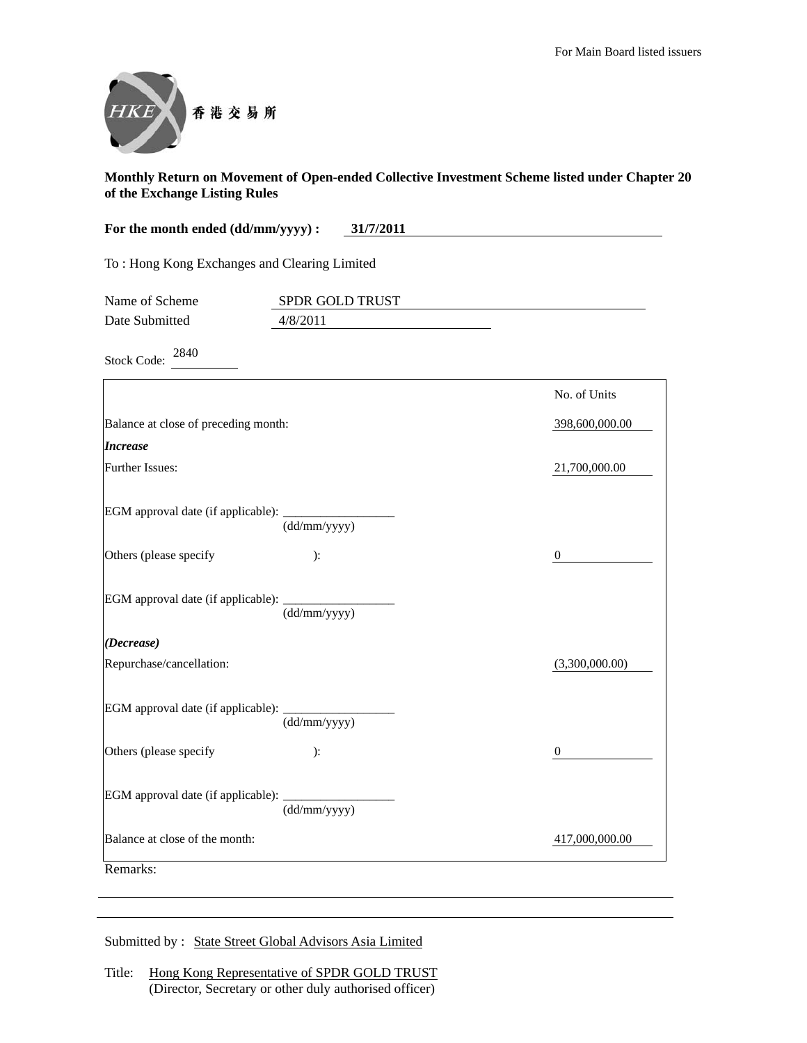

| For the month ended (dd/mm/yyyy) :           | 31/7/2011                   |                |
|----------------------------------------------|-----------------------------|----------------|
| To: Hong Kong Exchanges and Clearing Limited |                             |                |
| Name of Scheme<br>Date Submitted             | SPDR GOLD TRUST<br>4/8/2011 |                |
| 2840<br><b>Stock Code:</b>                   |                             |                |
|                                              |                             | No. of Units   |
| Balance at close of preceding month:         |                             | 398,600,000.00 |
| <b>Increase</b>                              |                             |                |
| Further Issues:                              |                             | 21,700,000.00  |
| EGM approval date (if applicable):           | (dd/mm/yyyy)                |                |
| Others (please specify                       | ):                          | 0              |
| EGM approval date (if applicable):           | (dd/mm/yyyy)                |                |
| (Decrease)                                   |                             |                |
| Repurchase/cancellation:                     |                             | (3,300,000.00) |
| EGM approval date (if applicable):           | (dd/mm/yyyy)                |                |
| Others (please specify                       | ):                          | $\mathbf{0}$   |
| EGM approval date (if applicable):           | (dd/mm/yyyy)                |                |
| Balance at close of the month:               |                             | 417,000,000.00 |
| Remarks:                                     |                             |                |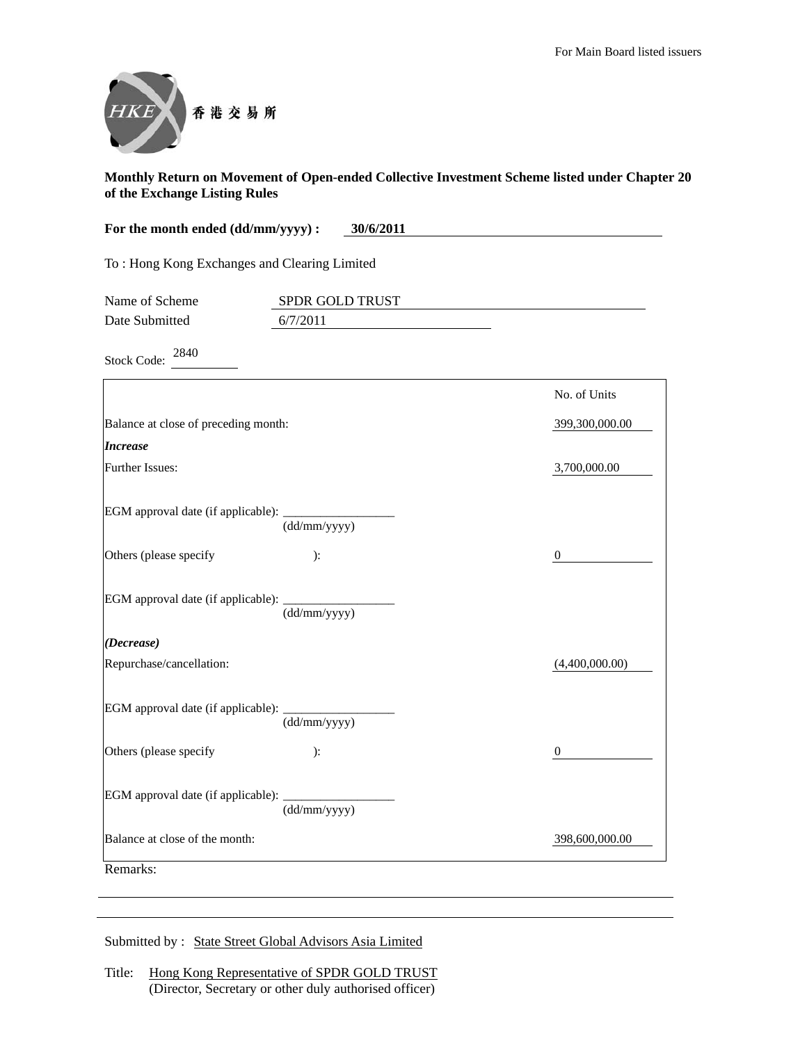

| For the month ended (dd/mm/yyyy) :<br>30/6/2011 |                 |                |
|-------------------------------------------------|-----------------|----------------|
| To: Hong Kong Exchanges and Clearing Limited    |                 |                |
| Name of Scheme                                  | SPDR GOLD TRUST |                |
| Date Submitted                                  | 6/7/2011        |                |
| 2840<br><b>Stock Code:</b>                      |                 |                |
|                                                 |                 | No. of Units   |
| Balance at close of preceding month:            |                 | 399,300,000.00 |
| <b>Increase</b>                                 |                 |                |
| Further Issues:                                 |                 | 3,700,000.00   |
| EGM approval date (if applicable):              | (dd/mm/yyyy)    |                |
| Others (please specify                          | ):              | $\theta$       |
| EGM approval date (if applicable):              | (dd/mm/yyyy)    |                |
| (Decrease)                                      |                 |                |
| Repurchase/cancellation:                        |                 | (4,400,000.00) |
| EGM approval date (if applicable):              | (dd/mm/yyyy)    |                |
| Others (please specify                          | ):              | $\mathbf{0}$   |
| EGM approval date (if applicable):              | (dd/mm/yyyy)    |                |
| Balance at close of the month:                  |                 | 398,600,000.00 |
| Remarks:                                        |                 |                |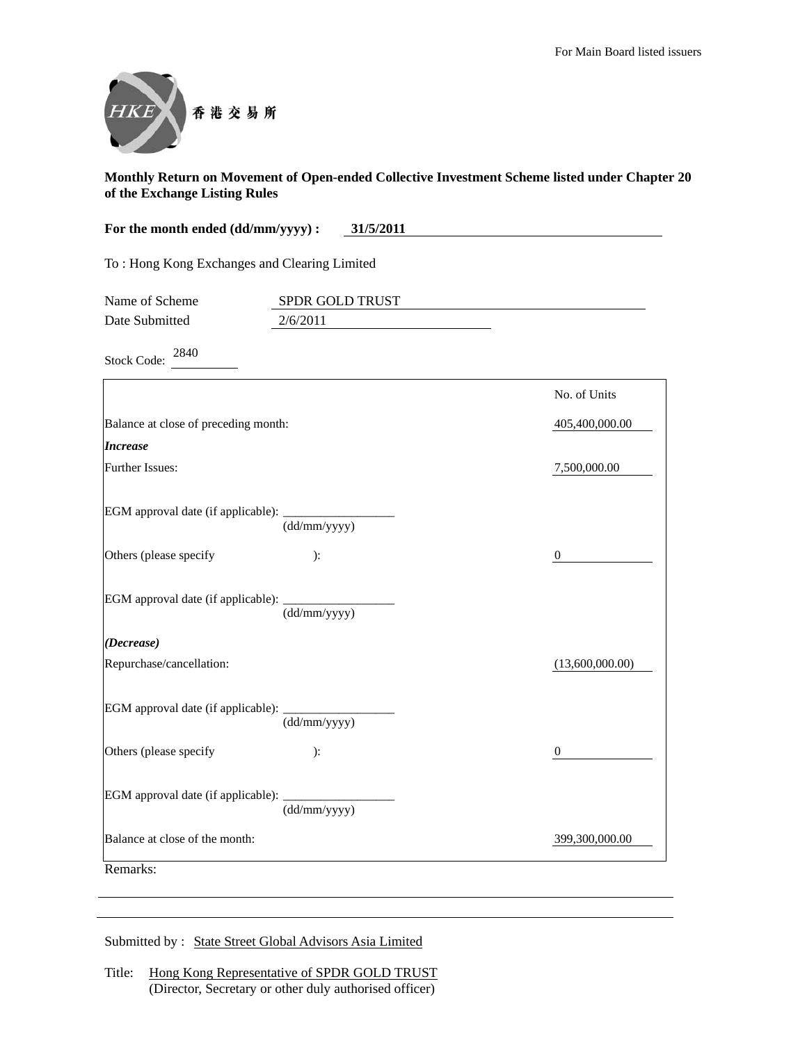

| For the month ended (dd/mm/yyyy) :<br>31/5/2011 |                 |                  |
|-------------------------------------------------|-----------------|------------------|
| To: Hong Kong Exchanges and Clearing Limited    |                 |                  |
| Name of Scheme                                  | SPDR GOLD TRUST |                  |
| Date Submitted                                  | 2/6/2011        |                  |
| 2840<br><b>Stock Code:</b>                      |                 |                  |
|                                                 |                 | No. of Units     |
| Balance at close of preceding month:            |                 | 405,400,000.00   |
| <b>Increase</b>                                 |                 |                  |
| Further Issues:                                 |                 | 7,500,000.00     |
| EGM approval date (if applicable):              | (dd/mm/yyyy)    |                  |
| Others (please specify                          | ):              | $\boldsymbol{0}$ |
| EGM approval date (if applicable):              | (dd/mm/yyyy)    |                  |
| (Decrease)                                      |                 |                  |
| Repurchase/cancellation:                        |                 | (13,600,000.00)  |
| EGM approval date (if applicable):              | (dd/mm/yyyy)    |                  |
| Others (please specify                          | ):              | $\boldsymbol{0}$ |
| EGM approval date (if applicable):              | (dd/mm/yyyy)    |                  |
| Balance at close of the month:                  |                 | 399,300,000.00   |
| Remarks:                                        |                 |                  |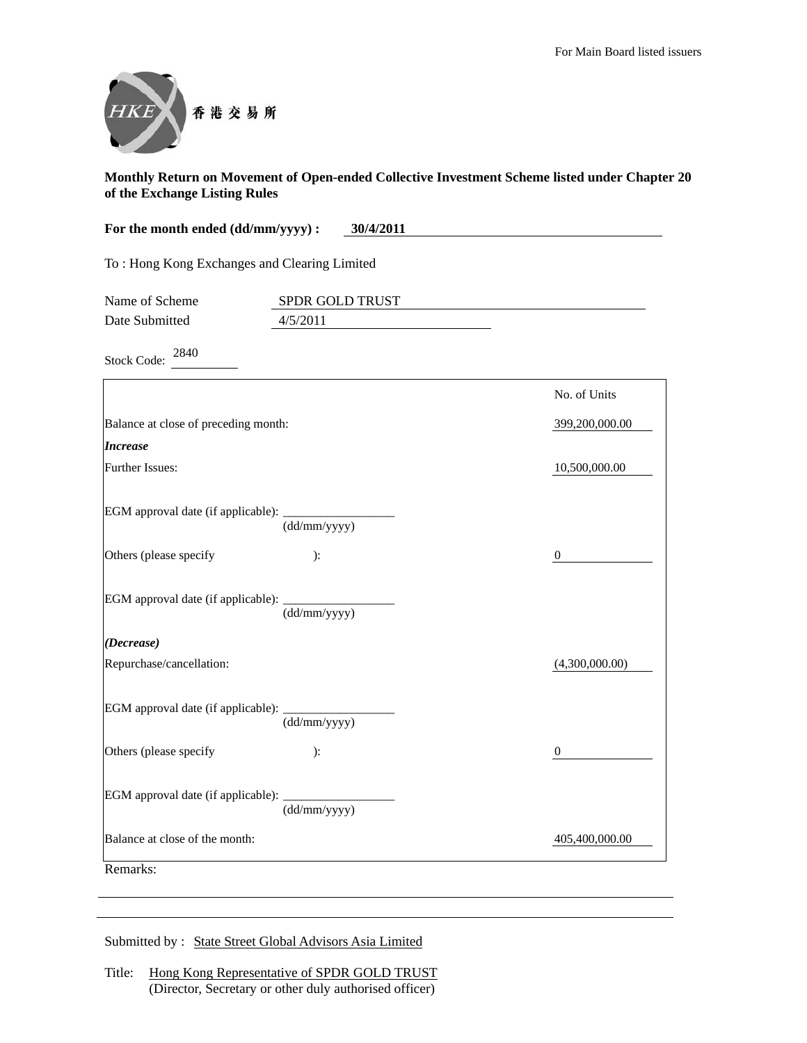

| For the month ended (dd/mm/yyyy) :<br>30/4/2011 |                             |                  |
|-------------------------------------------------|-----------------------------|------------------|
| To: Hong Kong Exchanges and Clearing Limited    |                             |                  |
| Name of Scheme<br>Date Submitted                | SPDR GOLD TRUST<br>4/5/2011 |                  |
| 2840<br><b>Stock Code:</b>                      |                             |                  |
|                                                 |                             | No. of Units     |
| Balance at close of preceding month:            |                             | 399,200,000.00   |
| <b>Increase</b>                                 |                             |                  |
| Further Issues:                                 |                             | 10,500,000.00    |
| EGM approval date (if applicable):              | (dd/mm/yyyy)                |                  |
| Others (please specify                          | ):                          | $\boldsymbol{0}$ |
| EGM approval date (if applicable): _            | (dd/mm/yyyy)                |                  |
| (Decrease)                                      |                             |                  |
| Repurchase/cancellation:                        |                             | (4,300,000.00)   |
| EGM approval date (if applicable): _            | (dd/mm/yyyy)                |                  |
| Others (please specify                          | ):                          | $\boldsymbol{0}$ |
| EGM approval date (if applicable):              | (dd/mm/yyyy)                |                  |
| Balance at close of the month:                  |                             | 405,400,000.00   |
| Remarks <sup>.</sup>                            |                             |                  |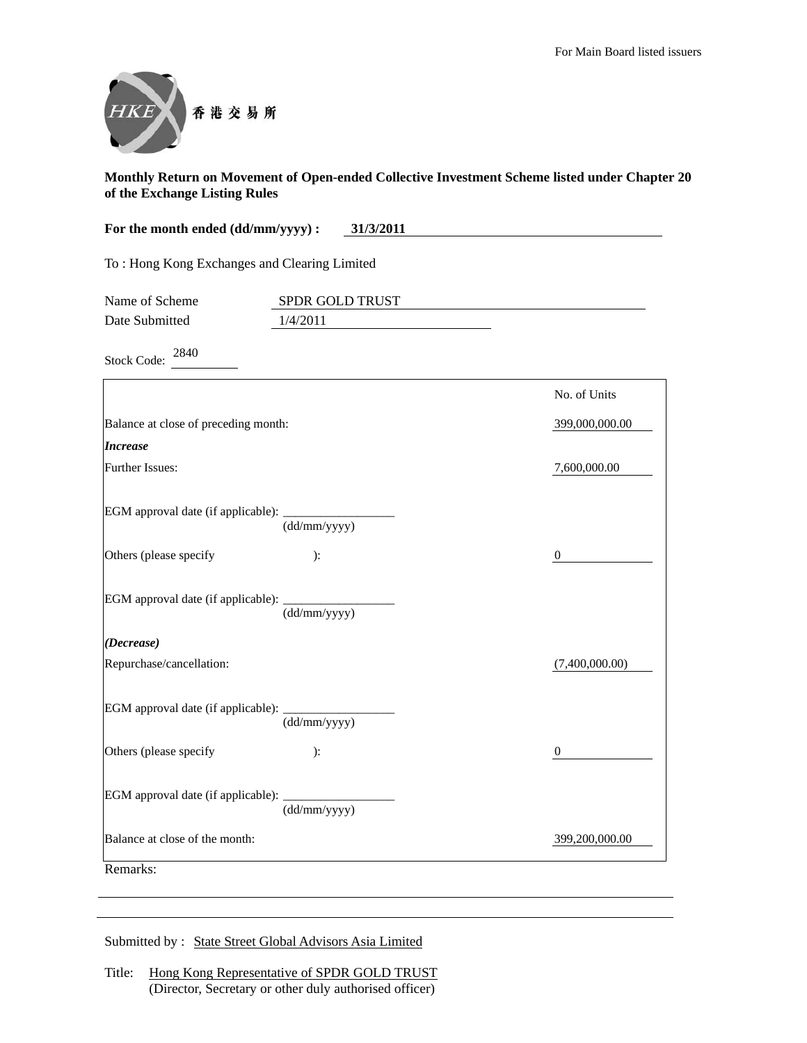

| For the month ended (dd/mm/yyyy) :           | 31/3/2011                   |                |
|----------------------------------------------|-----------------------------|----------------|
| To: Hong Kong Exchanges and Clearing Limited |                             |                |
| Name of Scheme<br>Date Submitted             | SPDR GOLD TRUST<br>1/4/2011 |                |
| 2840<br><b>Stock Code:</b>                   |                             |                |
|                                              |                             | No. of Units   |
| Balance at close of preceding month:         |                             | 399,000,000.00 |
| <b>Increase</b>                              |                             |                |
| Further Issues:                              |                             | 7,600,000.00   |
| EGM approval date (if applicable):           | (dd/mm/yyyy)                |                |
| Others (please specify                       | ):                          | 0              |
| EGM approval date (if applicable):           | (dd/mm/yyyy)                |                |
| (Decrease)                                   |                             |                |
| Repurchase/cancellation:                     |                             | (7,400,000.00) |
| EGM approval date (if applicable):           | (dd/mm/yyyy)                |                |
| Others (please specify                       | ):                          | $\mathbf{0}$   |
| EGM approval date (if applicable):           | (dd/mm/yyyy)                |                |
| Balance at close of the month:               |                             | 399,200,000.00 |
| Remarks:                                     |                             |                |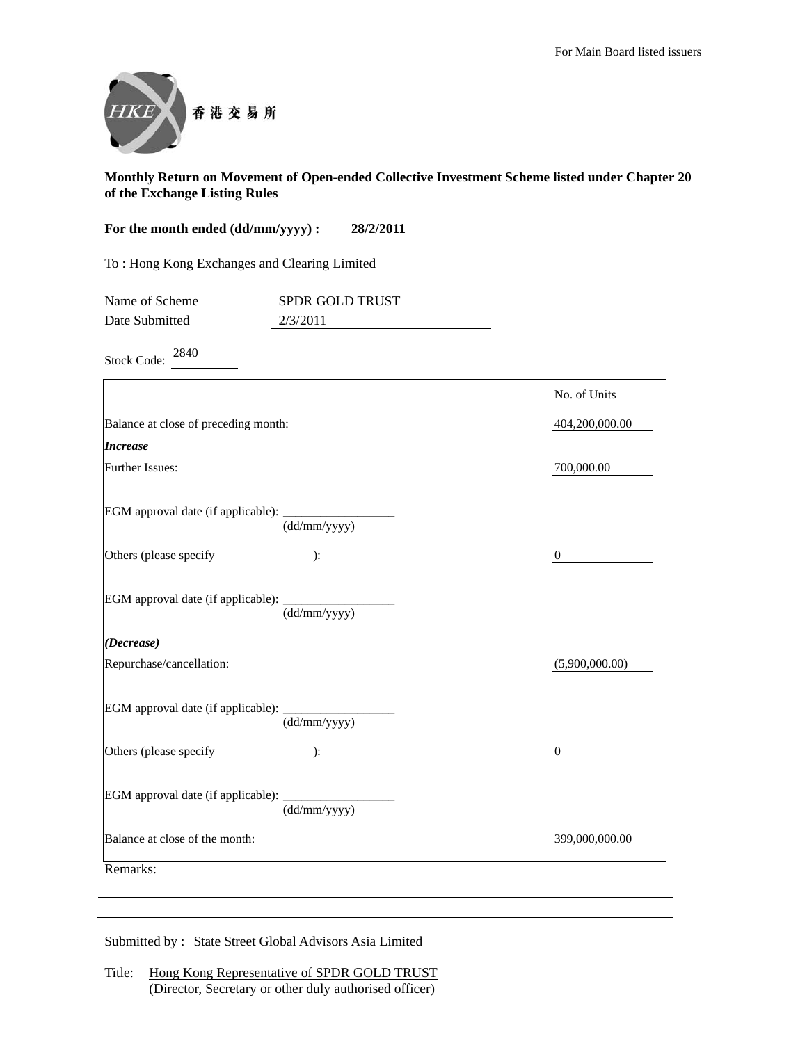

| For the month ended (dd/mm/yyyy) :           | 28/2/2011                   |                  |
|----------------------------------------------|-----------------------------|------------------|
| To: Hong Kong Exchanges and Clearing Limited |                             |                  |
| Name of Scheme<br>Date Submitted             | SPDR GOLD TRUST<br>2/3/2011 |                  |
|                                              |                             |                  |
| 2840<br><b>Stock Code:</b>                   |                             |                  |
|                                              |                             | No. of Units     |
| Balance at close of preceding month:         |                             | 404,200,000.00   |
| <b>Increase</b>                              |                             |                  |
| Further Issues:                              |                             | 700,000.00       |
| EGM approval date (if applicable):           | (dd/mm/yyyy)                |                  |
| Others (please specify                       | ):                          | 0                |
| EGM approval date (if applicable):           | (dd/mm/yyyy)                |                  |
| (Decrease)                                   |                             |                  |
| Repurchase/cancellation:                     |                             | (5,900,000.00)   |
| EGM approval date (if applicable):           | (dd/mm/yyyy)                |                  |
| Others (please specify                       | ):                          | $\boldsymbol{0}$ |
| EGM approval date (if applicable):           | (dd/mm/yyyy)                |                  |
| Balance at close of the month:               |                             | 399,000,000.00   |
| Remarks:                                     |                             |                  |